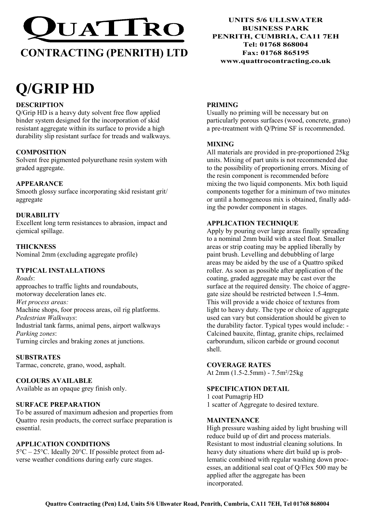

# CONTRACTING (PENRITH) LTD

# Q/GRIP HD

# **DESCRIPTION**

Q/Grip HD is a heavy duty solvent free flow applied binder system designed for the incorporation of skid resistant aggregate within its surface to provide a high durability slip resistant surface for treads and walkways.

# **COMPOSITION**

Solvent free pigmented polyurethane resin system with graded aggregate.

# APPEARANCE

Smooth glossy surface incorporating skid resistant grit/ aggregate

# DURABILITY

Excellent long term resistances to abrasion, impact and ciemical spillage.

**THICKNESS** Nominal 2mm (excluding aggregate profile)

# TYPICAL INSTALLATIONS

Roads: approaches to traffic lights and roundabouts, motorway deceleration lanes etc. Wet process areas: Machine shops, foor process areas, oil rig platforms. Pedestrian Walkways: Industrial tank farms, animal pens, airport walkways Parking zones: Turning circles and braking zones at junctions.

# **SUBSTRATES**

Tarmac, concrete, grano, wood, asphalt.

# COLOURS AVAILABLE

Available as an opaque grey finish only.

# SURFACE PREPARATION

To be assured of maximum adhesion and properties from Quattro resin products, the correct surface preparation is essential.

# APPLICATION CONDITIONS

5°C – 25°C. Ideally 20°C. If possible protect from adverse weather conditions during early cure stages.

UNITS 5/6 ULLSWATER BUSINESS PARK PENRITH, CUMBRIA, CA11 7EH Tel: 01768 868004 Fax: 01768 865195 www.quattrocontracting.co.uk

#### PRIMING

Usually no priming will be necessary but on particularly porous surfaces (wood, concrete, grano) a pre-treatment with Q/Prime SF is recommended.

#### MIXING

All materials are provided in pre-proportioned 25kg units. Mixing of part units is not recommended due to the possibility of proportioning errors. Mixing of the resin component is recommended before mixing the two liquid components. Mix both liquid components together for a minimum of two minutes or until a homogeneous mix is obtained, finally adding the powder component in stages.

#### APPLICATION TECHNIQUE

Apply by pouring over large areas finally spreading to a nominal 2mm build with a steel float. Smaller areas or strip coating may be applied liberally by paint brush. Levelling and debubbling of large areas may be aided by the use of a Quattro spiked roller. As soon as possible after application of the coating, graded aggregate may be cast over the surface at the required density. The choice of aggregate size should be restricted between 1.5-4mm. This will provide a wide choice of textures from light to heavy duty. The type or choice of aggregate used can vary but consideration should be given to the durability factor. Typical types would include: - Calcined bauxite, flintag, granite chips, reclaimed carborundum, silicon carbide or ground coconut shell.

# COVERAGE RATES

At 2mm (1.5-2.5mm) - 7.5m²/25kg

# SPECIFICATION DETAIL

1 coat Pumagrip HD 1 scatter of Aggregate to desired texture.

#### **MAINTENANCE**

High pressure washing aided by light brushing will reduce build up of dirt and process materials. Resistant to most industrial cleaning solutions. In heavy duty situations where dirt build up is problematic combined with regular washing down processes, an additional seal coat of Q/Flex 500 may be applied after the aggregate has been incorporated.